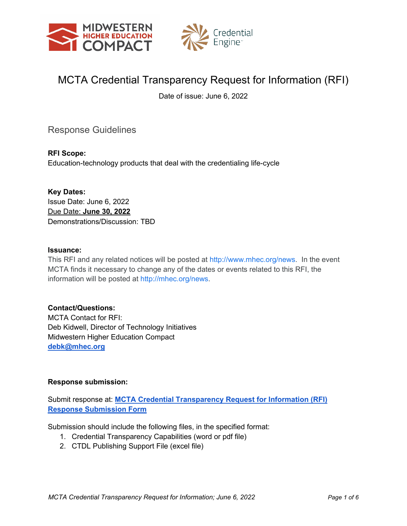



# MCTA Credential Transparency Request for Information (RFI)

Date of issue: June 6, 2022

Response Guidelines

**RFI Scope:**  Education-technology products that deal with the credentialing life-cycle

**Key Dates:** Issue Date: June 6, 2022 Due Date: **June 30, 2022** Demonstrations/Discussion: TBD

#### **Issuance:**

This RFI and any related notices will be posted at [http://www.mhec.org/news.](http://www.mhec.org/news) In the event MCTA finds it necessary to change any of the dates or events related to this RFI, the information will be posted at [http://mhec.org/news.](http://mhec.org/news)

#### **Contact/Questions:**

MCTA Contact for RFI: Deb Kidwell, Director of Technology Initiatives Midwestern Higher Education Compact **[debk@mhec.org](mailto:debk@mhec.org)** 

#### **Response submission:**

Submit response at: **[MCTA Credential Transparency Request for Information \(RFI\)](https://app.smartsheet.com/b/form/26c04cc19e984883a51e3a0c33400578)  [Response Submission Form](https://app.smartsheet.com/b/form/26c04cc19e984883a51e3a0c33400578)**

Submission should include the following files, in the specified format:

- 1. Credential Transparency Capabilities (word or pdf file)
- 2. CTDL Publishing Support File (excel file)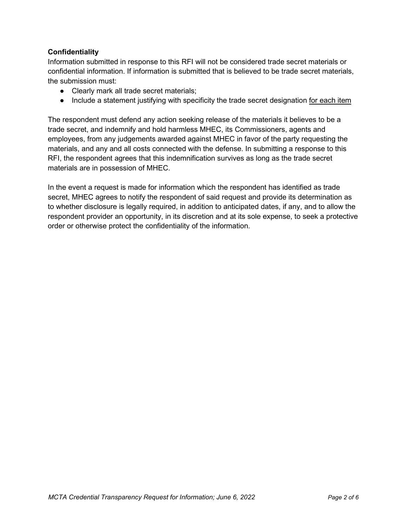# **Confidentiality**

Information submitted in response to this RFI will not be considered trade secret materials or confidential information. If information is submitted that is believed to be trade secret materials, the submission must:

- Clearly mark all trade secret materials;
- Include a statement justifying with specificity the trade secret designation for each item

The respondent must defend any action seeking release of the materials it believes to be a trade secret, and indemnify and hold harmless MHEC, its Commissioners, agents and employees, from any judgements awarded against MHEC in favor of the party requesting the materials, and any and all costs connected with the defense. In submitting a response to this RFI, the respondent agrees that this indemnification survives as long as the trade secret materials are in possession of MHEC.

In the event a request is made for information which the respondent has identified as trade secret, MHEC agrees to notify the respondent of said request and provide its determination as to whether disclosure is legally required, in addition to anticipated dates, if any, and to allow the respondent provider an opportunity, in its discretion and at its sole expense, to seek a protective order or otherwise protect the confidentiality of the information.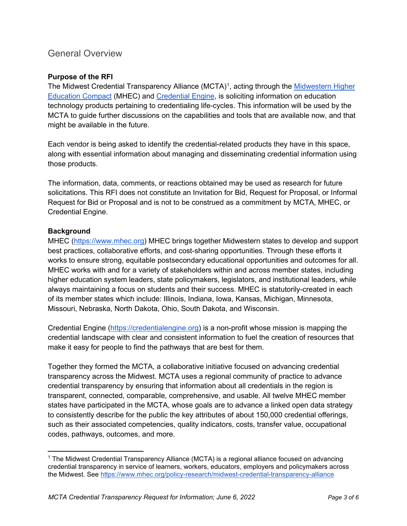# General Overview

## **Purpose of the RFI**

The Midwest Credential Transparency Alliance (MCTA)<sup>[1](#page-2-0)</sup>, acting through the <u>Midwestern Higher</u> [Education Compact](https://www.mhec.org/) (MHEC) and [Credential Engine,](https://credentialengine.org/) is soliciting information on education technology products pertaining to credentialing life-cycles. This information will be used by the MCTA to guide further discussions on the capabilities and tools that are available now, and that might be available in the future.

Each vendor is being asked to identify the credential-related products they have in this space, along with essential information about managing and disseminating credential information using those products.

The information, data, comments, or reactions obtained may be used as research for future solicitations. This RFI does not constitute an Invitation for Bid, Request for Proposal, or Informal Request for Bid or Proposal and is not to be construed as a commitment by MCTA, MHEC, or Credential Engine.

#### **Background**

MHEC [\(https://www.mhec.org\)](https://www.mhec.org/) MHEC brings together Midwestern states to develop and support best practices, collaborative efforts, and cost-sharing opportunities. Through these efforts it works to ensure strong, equitable postsecondary educational opportunities and outcomes for all. MHEC works with and for a variety of stakeholders within and across member states, including higher education system leaders, state policymakers, legislators, and institutional leaders, while always maintaining a focus on students and their success. MHEC is statutorily-created in each of its member states which include: Illinois, Indiana, Iowa, Kansas, Michigan, Minnesota, Missouri, Nebraska, North Dakota, Ohio, South Dakota, and Wisconsin.

Credential Engine [\(https://credentialengine.org\)](https://credentialengine.org/) is a non-profit whose mission is mapping the credential landscape with clear and consistent information to fuel the creation of resources that make it easy for people to find the pathways that are best for them.

Together they formed the MCTA, a collaborative initiative focused on advancing credential transparency across the Midwest. MCTA uses a regional community of practice to advance credential transparency by ensuring that information about all credentials in the region is transparent, connected, comparable, comprehensive, and usable. All twelve MHEC member states have participated in the MCTA, whose goals are to advance a linked open data strategy to consistently describe for the public the key attributes of about 150,000 credential offerings, such as their associated competencies, quality indicators, costs, transfer value, occupational codes, pathways, outcomes, and more.

<span id="page-2-0"></span><sup>&</sup>lt;sup>1</sup> The Midwest Credential Transparency Alliance (MCTA) is a regional alliance focused on advancing credential transparency in service of learners, workers, educators, employers and policymakers across the Midwest. See<https://www.mhec.org/policy-research/midwest-credential-transparency-alliance>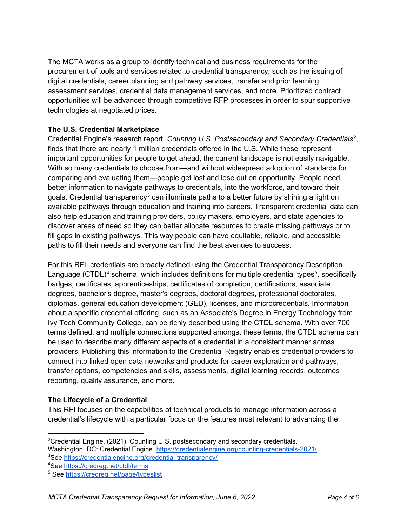The MCTA works as a group to identify technical and business requirements for the procurement of tools and services related to credential transparency, such as the issuing of digital credentials, career planning and pathway services, transfer and prior learning assessment services, credential data management services, and more. Prioritized contract opportunities will be advanced through competitive RFP processes in order to spur supportive technologies at negotiated prices.

# **The U.S. Credential Marketplace**

Credential Engine's research report, *Counting U.S. Postsecondary and Secondary Credentials*[2](#page-3-0) , finds that there are nearly 1 million credentials offered in the U.S. While these represent important opportunities for people to get ahead, the current landscape is not easily navigable. With so many credentials to choose from—and without widespread adoption of standards for comparing and evaluating them—people get lost and lose out on opportunity. People need better information to navigate pathways to credentials, into the workforce, and toward their goals. Credential transparency<sup>[3](#page-3-1)</sup> can illuminate paths to a better future by shining a light on available pathways through education and training into careers. Transparent credential data can also help education and training providers, policy makers, employers, and state agencies to discover areas of need so they can better allocate resources to create missing pathways or to fill gaps in existing pathways. This way people can have equitable, reliable, and accessible paths to fill their needs and everyone can find the best avenues to success.

For this RFI, credentials are broadly defined using the Credential Transparency Description Language (CTDL)<sup>[4](#page-3-2)</sup> schema, which includes definitions for multiple credential types<sup>[5](#page-3-3)</sup>, specifically badges, certificates, apprenticeships, certificates of completion, certifications, associate degrees, bachelor's degree, master's degrees, doctoral degrees, professional doctorates, diplomas, general education development (GED), licenses, and microcredentials. Information about a specific credential offering, such as an Associate's Degree in Energy Technology from Ivy Tech Community College, can be richly described using the CTDL schema. With over 700 terms defined, and multiple connections supported amongst these terms, the CTDL schema can be used to describe many different aspects of a credential in a consistent manner across providers. Publishing this information to the Credential Registry enables credential providers to connect into linked open data networks and products for career exploration and pathways, transfer options, competencies and skills, assessments, digital learning records, outcomes reporting, quality assurance, and more.

#### **The Lifecycle of a Credential**

This RFI focuses on the capabilities of technical products to manage information across a credential's lifecycle with a particular focus on the features most relevant to advancing the

<span id="page-3-0"></span> $^{2}$ Credential Engine. (2021). Counting U.S. postsecondary and secondary credentials.

<span id="page-3-1"></span>Washington, DC: Credential Engine.<https://credentialengine.org/counting-credentials-2021/> <sup>3</sup>See <u>https://credentialengine.org/credential-transparency/</u>

<span id="page-3-2"></span><sup>&</sup>lt;sup>4</sup>See <u>https://credreg.net/ctdl/terms</u>

<span id="page-3-3"></span><sup>5</sup> See<https://credreg.net/page/typeslist>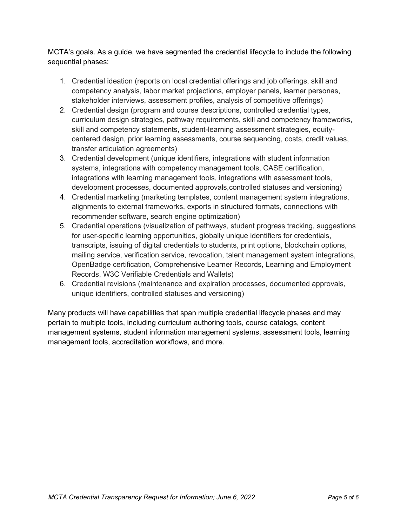MCTA's goals. As a guide, we have segmented the credential lifecycle to include the following sequential phases:

- 1. Credential ideation (reports on local credential offerings and job offerings, skill and competency analysis, labor market projections, employer panels, learner personas, stakeholder interviews, assessment profiles, analysis of competitive offerings)
- 2. Credential design (program and course descriptions, controlled credential types, curriculum design strategies, pathway requirements, skill and competency frameworks, skill and competency statements, student-learning assessment strategies, equitycentered design, prior learning assessments, course sequencing, costs, credit values, transfer articulation agreements)
- 3. Credential development (unique identifiers, integrations with student information systems, integrations with competency management tools, CASE certification, integrations with learning management tools, integrations with assessment tools, development processes, documented approvals,controlled statuses and versioning)
- 4. Credential marketing (marketing templates, content management system integrations, alignments to external frameworks, exports in structured formats, connections with recommender software, search engine optimization)
- 5. Credential operations (visualization of pathways, student progress tracking, suggestions for user-specific learning opportunities, globally unique identifiers for credentials, transcripts, issuing of digital credentials to students, print options, blockchain options, mailing service, verification service, revocation, talent management system integrations, OpenBadge certification, Comprehensive Learner Records, Learning and Employment Records, W3C Verifiable Credentials and Wallets)
- 6. Credential revisions (maintenance and expiration processes, documented approvals, unique identifiers, controlled statuses and versioning)

Many products will have capabilities that span multiple credential lifecycle phases and may pertain to multiple tools, including curriculum authoring tools, course catalogs, content management systems, student information management systems, assessment tools, learning management tools, accreditation workflows, and more.